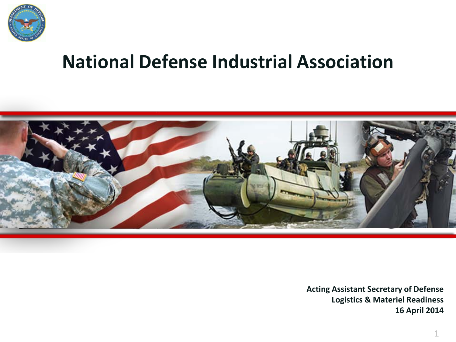

## **National Defense Industrial Association**



**Acting Assistant Secretary of Defense Logistics & Materiel Readiness 16 April 2014**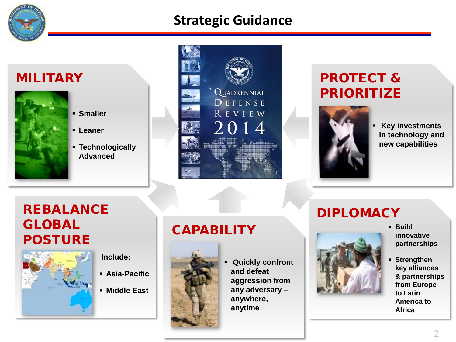

## **Strategic Guidance**

## **MILITARY**



- **Smaller**
- **Leaner**
- **Technologically Advanced**



## PROTECT & PRIORITIZE



 **Key investments in technology and new capabilities**

## REBALANCE GLOBAL POSTURE



**Include:**

- **Asia-Pacific**
- **Middle East**

## **CAPABILITY**



 **Quickly confront and defeat aggression from any adversary – anywhere, anytime**

# DIPLOMACY



- **Build innovative partnerships**
- **Strengthen key alliances & partnerships from Europe to Latin America to Africa**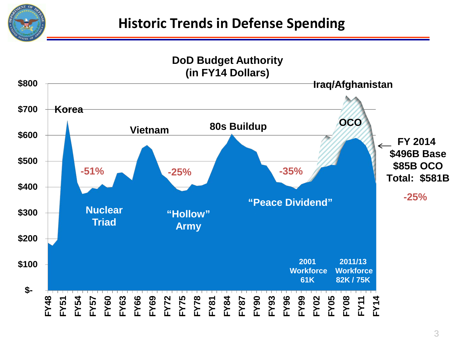

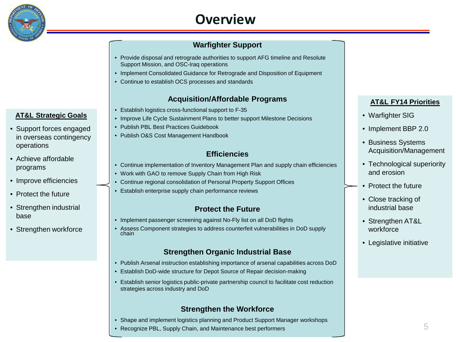

## **Overview**

#### **Warfighter Support**

- Provide disposal and retrograde authorities to support AFG timeline and Resolute Support Mission, and OSC-Iraq operations
- Implement Consolidated Guidance for Retrograde and Disposition of Equipment
- Continue to establish OCS processes and standards

#### **Acquisition/Affordable Programs**

- Establish logistics cross-functional support to F-35
- Improve Life Cycle Sustainment Plans to better support Milestone Decisions
- Publish PBL Best Practices Guidebook
- Publish O&S Cost Management Handbook

#### **Efficiencies**

- Continue implementation of Inventory Management Plan and supply chain efficiencies
- Work with GAO to remove Supply Chain from High Risk
- Continue regional consolidation of Personal Property Support Offices
- Establish enterprise supply chain performance reviews

#### **Protect the Future**

- Implement passenger screening against No-Fly list on all DoD flights
- Assess Component strategies to address counterfeit vulnerabilities in DoD supply chain

#### **Strengthen Organic Industrial Base**

- Publish Arsenal instruction establishing importance of arsenal capabilities across DoD
- Establish DoD-wide structure for Depot Source of Repair decision-making
- Establish senior logistics public-private partnership council to facilitate cost reduction strategies across industry and DoD

#### **Strengthen the Workforce**

- Shape and implement logistics planning and Product Support Manager workshops
- Recognize PBL, Supply Chain, and Maintenance best performers

#### **AT&L FY14 Priorities**

- Warfighter SIG
- Implement BBP 2.0
- Business Systems Acquisition/Management
- Technological superiority and erosion
- Protect the future
- Close tracking of industrial base
- Strengthen AT&L workforce
- Legislative initiative

#### **AT&L Strategic Goals**

- Support forces engaged in overseas contingency operations
- Achieve affordable programs
- Improve efficiencies
- Protect the future
- Strengthen industrial base
- Strengthen workforce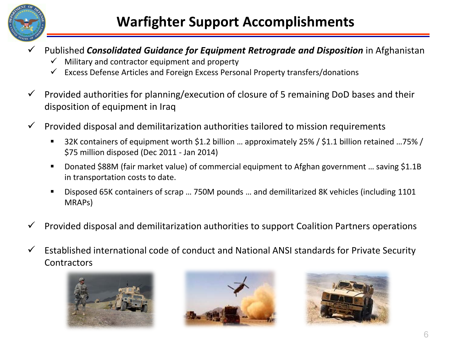

- Published *Consolidated Guidance for Equipment Retrograde and Disposition* in Afghanistan
	- $\checkmark$  Military and contractor equipment and property
	- $\checkmark$  Excess Defense Articles and Foreign Excess Personal Property transfers/donations
- $\checkmark$  Provided authorities for planning/execution of closure of 5 remaining DoD bases and their disposition of equipment in Iraq
- $\checkmark$  Provided disposal and demilitarization authorities tailored to mission requirements
	- 32K containers of equipment worth \$1.2 billion ... approximately 25% / \$1.1 billion retained ...75% / \$75 million disposed (Dec 2011 - Jan 2014)
	- Donated \$88M (fair market value) of commercial equipment to Afghan government ... saving \$1.1B in transportation costs to date.
	- Disposed 65K containers of scrap ... 750M pounds ... and demilitarized 8K vehicles (including 1101 MRAPs)
- Provided disposal and demilitarization authorities to support Coalition Partners operations
- $\checkmark$  Established international code of conduct and National ANSI standards for Private Security **Contractors**





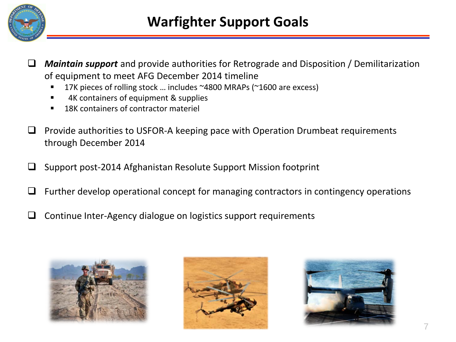

- *Maintain support* and provide authorities for Retrograde and Disposition / Demilitarization of equipment to meet AFG December 2014 timeline
	- 17K pieces of rolling stock … includes ~4800 MRAPs (~1600 are excess)
	- 4K containers of equipment & supplies
	- <sup>1</sup> 18K containers of contractor materiel
- $\Box$  Provide authorities to USFOR-A keeping pace with Operation Drumbeat requirements through December 2014
- $\Box$  Support post-2014 Afghanistan Resolute Support Mission footprint
- Further develop operational concept for managing contractors in contingency operations
- Continue Inter-Agency dialogue on logistics support requirements





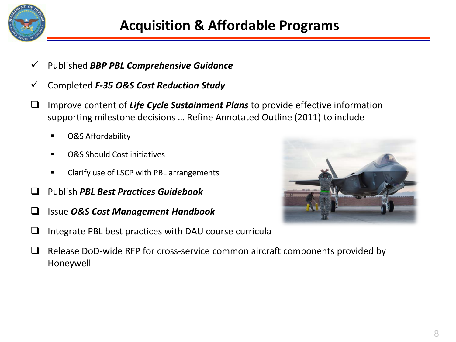

- Published *BBP PBL Comprehensive Guidance*
- Completed *F-35 O&S Cost Reduction Study*
- Improve content of *Life Cycle Sustainment Plans* to provide effective information supporting milestone decisions … Refine Annotated Outline (2011) to include
	- O&S Affordability
	- **CAS Should Cost initiatives**
	- **EXECUTE:** Clarify use of LSCP with PBL arrangements
- Publish *PBL Best Practices Guidebook*
- Issue *O&S Cost Management Handbook*
- $\Box$  Integrate PBL best practices with DAU course curricula
- $\Box$  Release DoD-wide RFP for cross-service common aircraft components provided by Honeywell

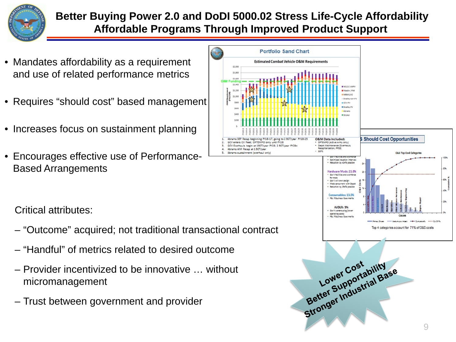

## **Better Buying Power 2.0 and DoDI 5000.02 Stress Life-Cycle Affordability Affordable Programs Through Improved Product Support**

- Mandates affordability as a requirement and use of related performance metrics
- Requires "should cost" based management
- Increases focus on sustainment planning
- Encourages effective use of Performance-Based Arrangements

Critical attributes:

- "Outcome" acquired; not traditional transactional contract
- "Handful" of metrics related to desired outcome
- Provider incentivized to be innovative … without micromanagement
- Trust between government and provider

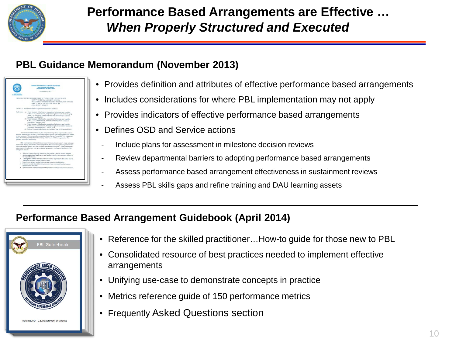

## **Performance Based Arrangements are Effective …**  *When Properly Structured and Executed*

### **PBL Guidance Memorandum (November 2013)**

|                      | WASHINGTON, OC 20301-0600                                                                                                                                                                                                                                                                                                                                                                                                                                                                                                                                                                                                                                                                                                                                                                                                                                                                                                                                                                                                                                                                                                                                                                                                             |
|----------------------|---------------------------------------------------------------------------------------------------------------------------------------------------------------------------------------------------------------------------------------------------------------------------------------------------------------------------------------------------------------------------------------------------------------------------------------------------------------------------------------------------------------------------------------------------------------------------------------------------------------------------------------------------------------------------------------------------------------------------------------------------------------------------------------------------------------------------------------------------------------------------------------------------------------------------------------------------------------------------------------------------------------------------------------------------------------------------------------------------------------------------------------------------------------------------------------------------------------------------------------|
|                      | Ninversber 23, 2013                                                                                                                                                                                                                                                                                                                                                                                                                                                                                                                                                                                                                                                                                                                                                                                                                                                                                                                                                                                                                                                                                                                                                                                                                   |
|                      | MEMORANDUM FOR SECRETARIES OF THE MILITARY DEPARTMENTS.<br>DEPUTY CHIEF MANAGEMENT OFFICER<br>DEPARTMENT OF DEFENSE CHIEF INFORMATION OFFICER<br>DIRECTORS OF THE DEFENSE AGENCIES.<br>AT&L DIRECT REPORTS                                                                                                                                                                                                                                                                                                                                                                                                                                                                                                                                                                                                                                                                                                                                                                                                                                                                                                                                                                                                                            |
|                      | SUBJECT: Performance Based Louistics Comprehensive Goldsour-                                                                                                                                                                                                                                                                                                                                                                                                                                                                                                                                                                                                                                                                                                                                                                                                                                                                                                                                                                                                                                                                                                                                                                          |
|                      | Reference: (a) Under Secretary of Defense for Agguirition, Technology, and Logistics<br>(USD(AT&L)) memorandum, "Implementing Directive for Better Buying<br>Pewer 2.0 - Aghieving Greater Efficiency and Productivity in Definue<br>Spending," April 24, 2013<br>(b) Under Secretary of Defense for Aquainitien, Technology, and Logistics<br>(USDOAT&L)) memorandum, "Should Cost Management in Defense<br>Acquisition," August 6, 2013<br>(c) Under Secretary of Defense for Acquisition, Technology, and Logistics<br>(USD(AT&L)) memorandum, "Strengthening Suitainment Governance for<br>Augulaition Program Reviews," April 5, 2010<br>(d) National Defense Authorization Act for Fiscal Year 2012, Section 832(10)<br>In accordance with Reference (a), this comprehensive guidance is provided to assist in<br>adopting and expanding the use of Performance Based Legistics (PBL) amangements for vessees<br>system pergment. This memorandum expands on Better Buying Power (EBP) 2.0 unidance to<br>assist the Military Departments with increasing effective use of PBI, amungements. This<br>entidated is effective immediately.<br>PBL is synonymous with performance based life cycle product support, where outcomes |
| emenagement include: | are acquired through performance hased arrangements that deliver Warfighter requirements and<br>incentivize product sapport providers to reduce costs through innovation. These arrangements<br>are contracts with industry or inter-governmental agreements. Attributes of an effective PBI.                                                                                                                                                                                                                                                                                                                                                                                                                                                                                                                                                                                                                                                                                                                                                                                                                                                                                                                                         |
|                      | · Objective, measurable work description that acquires a product support outcome.<br>. Appropriate contract length, terms, and funding strategies that creasureau delivery of<br>the received cuttones.<br>· A manageable member of metrics linked to contract requirements that reflect desired<br>Warffghter outcomes and must reduction posits.<br>· Incertives to achieve required outcomes and cost reduction initiatives.<br>· Risks and rewards shared between government and commercial product support<br>integrators and providers.<br>· Synchronization of product support amangements to satisfy Warfighter requirements.                                                                                                                                                                                                                                                                                                                                                                                                                                                                                                                                                                                                 |

- Provides definition and attributes of effective performance based arrangements
- Includes considerations for where PBL implementation may not apply
- Provides indicators of effective performance based arrangements
- Defines OSD and Service actions
	- Include plans for assessment in milestone decision reviews
	- Review departmental barriers to adopting performance based arrangements
	- Assess performance based arrangement effectiveness in sustainment reviews
	- Assess PBL skills gaps and refine training and DAU learning assets

#### **Performance Based Arrangement Guidebook (April 2014)**



- Reference for the skilled practitioner...How-to quide for those new to PBL
- Consolidated resource of best practices needed to implement effective arrangements
- Unifying use-case to demonstrate concepts in practice
- Metrics reference guide of 150 performance metrics
- Frequently Asked Questions section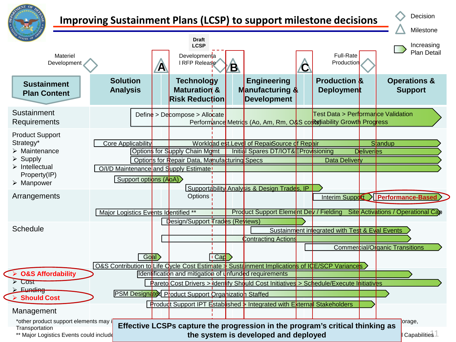

#### **Improving Sustainment Plans (LCSP) to support milestone decisions**

Decision

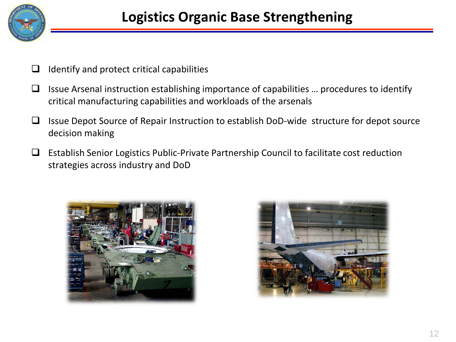

- $\Box$  Identify and protect critical capabilities
- $\Box$  Issue Arsenal instruction establishing importance of capabilities ... procedures to identify critical manufacturing capabilities and workloads of the arsenals
- $\Box$  Issue Depot Source of Repair Instruction to establish DoD-wide structure for depot source decision making
- $\Box$  Establish Senior Logistics Public-Private Partnership Council to facilitate cost reduction strategies across industry and DoD



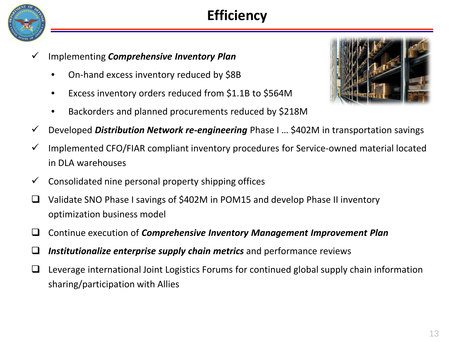

## **Efficiency**

- Implementing *Comprehensive Inventory Plan* 
	- On-hand excess inventory reduced by \$8B
	- Excess inventory orders reduced from \$1.1B to \$564M
	- Backorders and planned procurements reduced by \$218M



- Developed *Distribution Network re-engineering* Phase I … \$402M in transportation savings
- $\checkmark$  Implemented CFO/FIAR compliant inventory procedures for Service-owned material located in DLA warehouses
- $\checkmark$  Consolidated nine personal property shipping offices
- $\Box$  Validate SNO Phase I savings of \$402M in POM15 and develop Phase II inventory optimization business model
- Continue execution of *Comprehensive Inventory Management Improvement Plan*
- *Institutionalize enterprise supply chain metrics* and performance reviews
- $\Box$  Leverage international Joint Logistics Forums for continued global supply chain information sharing/participation with Allies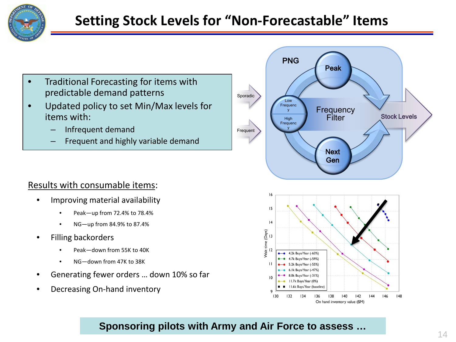

## **Setting Stock Levels for "Non-Forecastable" Items**

- Traditional Forecasting for items with predictable demand patterns
- Updated policy to set Min/Max levels for items with:
	- Infrequent demand
	- Frequent and highly variable demand

#### Results with consumable items:

- Improving material availability
	- Peak—up from 72.4% to 78.4%
	- NG—up from 84.9% to 87.4%
- Filling backorders
	- Peak-down from 55K to 40K
	- NG-down from 47K to 38K
- Generating fewer orders … down 10% so far
- Decreasing On-hand inventory



#### **Sponsoring pilots with Army and Air Force to assess …**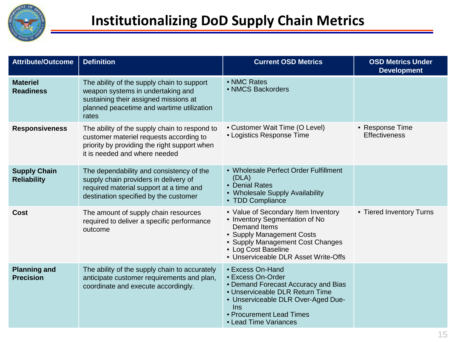

| <b>Attribute/Outcome</b>                  | <b>Definition</b>                                                                                                                                                              | <b>Current OSD Metrics</b>                                                                                                                                                                                               | <b>OSD Metrics Under</b><br><b>Development</b> |
|-------------------------------------------|--------------------------------------------------------------------------------------------------------------------------------------------------------------------------------|--------------------------------------------------------------------------------------------------------------------------------------------------------------------------------------------------------------------------|------------------------------------------------|
| <b>Materiel</b><br><b>Readiness</b>       | The ability of the supply chain to support<br>weapon systems in undertaking and<br>sustaining their assigned missions at<br>planned peacetime and wartime utilization<br>rates | • NMC Rates<br>• NMCS Backorders                                                                                                                                                                                         |                                                |
| <b>Responsiveness</b>                     | The ability of the supply chain to respond to<br>customer materiel requests according to<br>priority by providing the right support when<br>it is needed and where needed      | • Customer Wait Time (O Level)<br>• Logistics Response Time                                                                                                                                                              | • Response Time<br><b>Effectiveness</b>        |
| <b>Supply Chain</b><br><b>Reliability</b> | The dependability and consistency of the<br>supply chain providers in delivery of<br>required material support at a time and<br>destination specified by the customer          | • Wholesale Perfect Order Fulfillment<br>(DLA)<br>• Denial Rates<br>• Wholesale Supply Availability<br>• TDD Compliance                                                                                                  |                                                |
| <b>Cost</b>                               | The amount of supply chain resources<br>required to deliver a specific performance<br>outcome                                                                                  | • Value of Secondary Item Inventory<br>• Inventory Segmentation of No<br>Demand Items<br>• Supply Management Costs<br>• Supply Management Cost Changes<br>• Log Cost Baseline<br>• Unserviceable DLR Asset Write-Offs    | • Tiered Inventory Turns                       |
| <b>Planning and</b><br><b>Precision</b>   | The ability of the supply chain to accurately<br>anticipate customer requirements and plan,<br>coordinate and execute accordingly.                                             | • Excess On-Hand<br>• Excess On-Order<br>• Demand Forecast Accuracy and Bias<br>• Unserviceable DLR Return Time<br>• Unserviceable DLR Over-Aged Due-<br><b>Ins</b><br>• Procurement Lead Times<br>• Lead Time Variances |                                                |